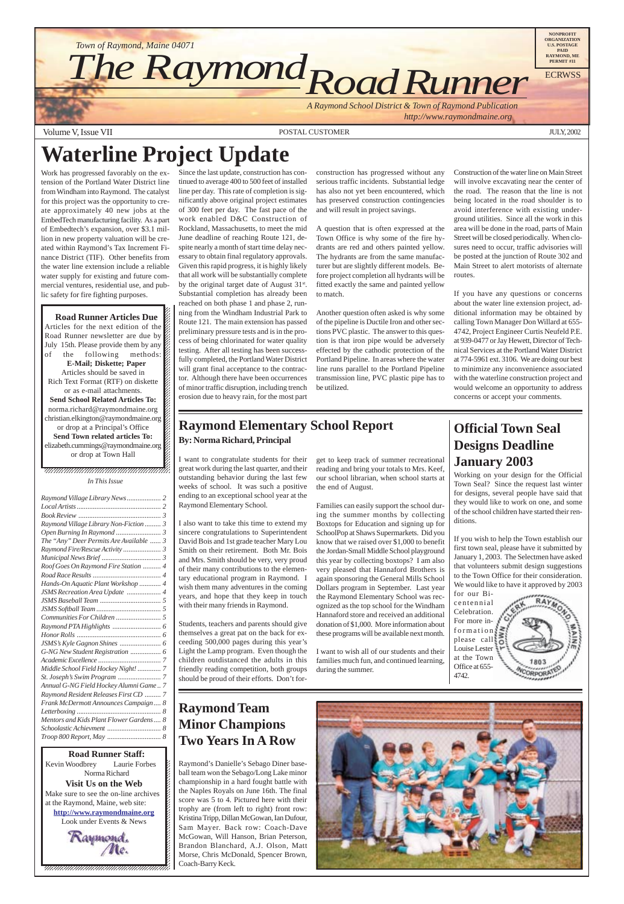*http://www.raymondmaine.org*

Volume V, Issue VII POSTAL CUSTOMER JULY, 2002





# **Raymond Team Minor Champions Two Years In A Row**

Raymond's Danielle's Sebago Diner baseball team won the Sebago/Long Lake minor championship in a hard fought battle with the Naples Royals on June 16th. The final score was 5 to 4. Pictured here with their trophy are (from left to right) front row: Kristina Tripp, Dillan McGowan, Ian Dufour, Sam Mayer. Back row: Coach-Dave McGowan, Will Hanson, Brian Peterson, Brandon Blanchard, A.J. Olson, Matt Morse, Chris McDonald, Spencer Brown, Coach-Barry Keck.



 $\blacksquare$ , 1234567891234567891234567891234567891234567891234567891234578 *In This Issue*

 $1235678901234567890123456789012345678901234567890123456789012345678901234567890123456789012345678901234567890123456789012345678901234567890123456789012345678901234567890123456789012345678901234567890123456789012345678901$  $1235678901234587890123456789012345678901234567890123456789012345678901234567890123456789012345678901234567890123456789012345678901234567890123456789012345678901234567890123456789012345678901234567890123456789012345678901$ 

# **Waterline Project Update**

Work has progressed favorably on the extension of the Portland Water District line from Windham into Raymond. The catalyst for this project was the opportunity to create approximately 40 new jobs at the EmbedTech manufacturing facility. As a part of Embedtech's expansion, over \$3.1 million in new property valuation will be created within Raymond's Tax Increment Finance District (TIF). Other benefits from the water line extension include a reliable water supply for existing and future commercial ventures, residential use, and public safety for fire fighting purposes.

12345678901234567890123456789012345678901234567890123456789012345678901234567890123456789012345678901234567890 12345678901234567890123456789012123456789012345678  $1235678901234567890123456789012345678901234567890123456789012345678901234567890123456789012345678901234567890123456789012345678901234567890123456789012345678901234567890123456789012345678901234567890123456789012345678901$ 

**Road Runner Articles Due** <u>12366878901234567890123456789012345</u> Articles for the next edition of the  $\mathscr{C}$ Road Runner newsletter are due by July 15th. Please provide them by any  $\mathbb Z$ of the following methods:  $\%$  $18.8$  8  $18.8$  8  $18.8$  8  $18.8$  8  $18.8$  8  $18.8$  8  $18.8$  8  $18.8$  8  $18.8$  8  $18.8$  8  $18.8$  8  $18.8$  8  $18.8$  8  $18.8$  8  $18.8$  8  $18.8$  8  $18.8$  8  $18.8$  8  $18.8$  8  $18.8$  8  $18.8$  8  $18.8$  8  $18.8$  8  $18.8$  8  $18.8$ **E-Mail; Diskette; Paper** 1234<del>5678012345678901234578902345789023457878</del> Articles should be saved in  $1235678901234567890123456789012345678901234567890123456789012345678901234567890123456789012345678901234567890123456789012345678901234567890123456789012345678901234567890123456789012345678901234567890123456789012345678901$ Rich Text Format (RTF) on diskette  $\%$ or as e-mail attachments.  $1235678901234587890123456789012345678901234567890123456789012345678901234567890123456789012345678901234567890123456789012345678901234567890123456789012345678901234567890123456789012345678901234567890123456789012345678901$ **Send School Related Articles To:** norma.richard@raymondmaine.org  $1.8$  8  $1.8$  8  $1.8$  8  $1.8$  8  $1.8$  8  $1.8$  8  $1.8$  8  $1.8$  8  $1.8$  8  $1.8$  8  $1.8$  8  $1.8$  8  $1.8$  8  $1.8$  8  $1.8$  8  $1.8$  8  $1.8$  8  $1.8$  8  $1.8$  8  $1.8$  8  $1.8$  8  $1.8$  8  $1.8$  8  $1.8$  8  $1.8$  8  $1.8$  8  $1.8$  8  $1.8$ christian.elkington@raymondmaine.org  $18.8$  8  $18.8$  8  $18.8$  8  $18.8$  8  $18.8$  8  $18.8$  8  $18.8$  8  $18.8$  8  $18.8$  8  $18.8$  8  $18.8$  8  $18.8$  8  $18.8$  8  $18.8$  8  $18.8$  8  $18.8$  8  $18.8$  8  $18.8$  8  $18.8$  8  $18.8$  8  $18.8$  8  $18.8$  8  $18.8$  8  $18.8$  8  $18.8$ or drop at a Principal's Office  $\mathscr{C}$ **Send Town related articles To:** elizabeth.cummings@raymondmaine.org or drop at Town Hall  $1235678901234567890123456789012345678901234567890123456789012345678901234567890123456789012345678901234567890123456789012345678901234567890123456789012345678901234567890123456789012345678901234567890123456789012345678901$  Since the last update, construction has continued to average 400 to 500 feet of installed line per day. This rate of completion is significantly above original project estimates of 300 feet per day. The fast pace of the work enabled D&C Construction of Rockland, Massachusetts, to meet the mid June deadline of reaching Route 121, despite nearly a month of start time delay necessary to obtain final regulatory approvals. Given this rapid progress, it is highly likely that all work will be substantially complete by the original target date of August 31<sup>st</sup>. Substantial completion has already been reached on both phase 1 and phase 2, running from the Windham Industrial Park to Route 121. The main extension has passed preliminary pressure tests and is in the process of being chlorinated for water quality testing. After all testing has been successfully completed, the Portland Water District will grant final acceptance to the contractor. Although there have been occurrences of minor traffic disruption, including trench erosion due to heavy rain, for the most part

construction has progressed without any serious traffic incidents. Substantial ledge has also not yet been encountered, which has preserved construction contingencies and will result in project savings.

A question that is often expressed at the Town Office is why some of the fire hydrants are red and others painted yellow. The hydrants are from the same manufacturer but are slightly different models. Before project completion all hydrants will be fitted exactly the same and painted yellow to match.

Another question often asked is why some of the pipeline is Ductile Iron and other sections PVC plastic. The answer to this question is that iron pipe would be adversely effected by the cathodic protection of the Portland Pipeline. In areas where the water line runs parallel to the Portland Pipeline transmission line, PVC plastic pipe has to be utilized.

Construction of the water line on Main Street will involve excavating near the center of the road. The reason that the line is not being located in the road shoulder is to avoid interference with existing underground utilities. Since all the work in this area will be done in the road, parts of Main Street will be closed periodically. When closures need to occur, traffic advisories will be posted at the junction of Route 302 and Main Street to alert motorists of alternate routes.

If you have any questions or concerns about the water line extension project, additional information may be obtained by calling Town Manager Don Willard at 655- 4742, Project Engineer Curtis Neufeld P.E. at 939-0477 or Jay Hewett, Director of Technical Services at the Portland Water District at 774-5961 ext. 3106. We are doing our best to minimize any inconvenience associated with the waterline construction project and would welcome an opportunity to address concerns or accept your comments.

# **Official Town Seal Designs Deadline January 2003**

Working on your design for the Official Town Seal? Since the request last winter for designs, several people have said that they would like to work on one, and some of the school children have started their renditions.

If you wish to help the Town establish our first town seal, please have it submitted by January 1, 2003. The Selectmen have asked that volunteers submit design suggestions to the Town Office for their consideration. We would like to have it approved by 2003



# **Raymond Elementary School Report By: Norma Richard, Principal**

I want to congratulate students for their great work during the last quarter, and their outstanding behavior during the last few weeks of school. It was such a positive ending to an exceptional school year at the Raymond Elementary School.

I also want to take this time to extend my sincere congratulations to Superintendent David Bois and 1st grade teacher Mary Lou Smith on their retirement. Both Mr. Bois and Mrs. Smith should be very, very proud of their many contributions to the elementary educational program in Raymond. I wish them many adventures in the coming years, and hope that they keep in touch with their many friends in Raymond.

Students, teachers and parents should give themselves a great pat on the back for exceeding 500,000 pages during this year's Light the Lamp program. Even though the children outdistanced the adults in this friendly reading competition, both groups should be proud of their efforts. Don't forget to keep track of summer recreational reading and bring your totals to Mrs. Keef, our school librarian, when school starts at the end of August.

Families can easily support the school during the summer months by collecting Boxtops for Education and signing up for SchoolPop at Shaws Supermarkets. Did you know that we raised over \$1,000 to benefit the Jordan-Small Middle School playground this year by collecting boxtops? I am also very pleased that Hannaford Brothers is again sponsoring the General Mills School Dollars program in September. Last year the Raymond Elementary School was recognized as the top school for the Windham Hannaford store and received an additional donation of \$1,000. More information about these programs will be available next month.

I want to wish all of our students and their families much fun, and continued learning, during the summer.

| Raymond Village Library News 2          |  |
|-----------------------------------------|--|
|                                         |  |
|                                         |  |
| Raymond Village Library Non-Fiction  3  |  |
|                                         |  |
| The "Any" Deer Permits Are Available  3 |  |
| Raymond Fire/Rescue Activity  3         |  |
|                                         |  |
| Roof Goes On Raymond Fire Station  4    |  |
|                                         |  |
| Hands-On Aquatic Plant Workshop  4      |  |
| JSMS Recreation Area Update  4          |  |
|                                         |  |
|                                         |  |
|                                         |  |
|                                         |  |
|                                         |  |
|                                         |  |
|                                         |  |
|                                         |  |
| Middle School Field Hockey Night!  7    |  |
|                                         |  |
|                                         |  |

*[Annual G-NG Field Hockey Alumni Game .. 7](#page-6-0) [Raymond Resident Releases First CD](#page-6-0) ......... 7 [Frank McDermott Announces Campaign.... 8](#page-7-0) Letterboxing [............................................... 8](#page-7-0) [Mentors and Kids Plant Flower Gardens.... 8](#page-7-0) [Schoolastic Achievment](#page-7-0) .............................. 8 [Troop 800 Report, May](#page-7-0) .............................. 8*

**1234567801234567890123456789121234567890121234567890123456789012345678901234567890123456789012345678** 12345678901234567890123456789012123456789012345678 Kevin Woodbrey Laurie Forbes  $\cancel{\epsilon}$ Laurie Forbes Norma Richard **1234**  $\blacksquare$ **Visit Us on the Web** 12345678901234567890123456789012123456789012345678 Make sure to see the on-line archives  $\mathcal{L}$ 12345678901234567890123456789012123456789012345678 at the Raymond, Maine, web site:  $\mathcal{L}$ **http://www.raymondmaine.org** 12345678901234567890123456789012123456789012345678 Look under Events & News  $\mathcal{L}$  $123$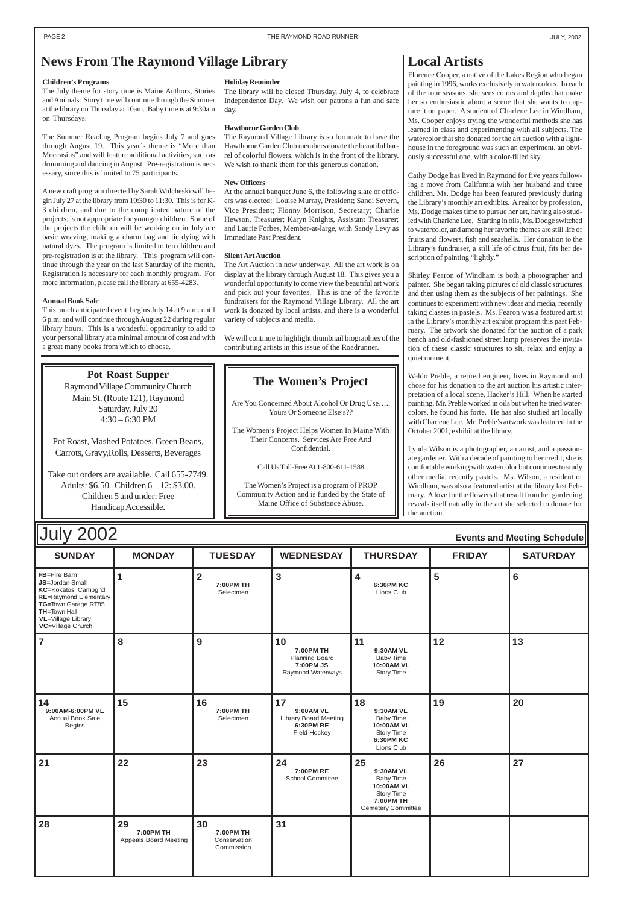| <b>July 2002</b><br><b>Events and Meeting Schedule</b>                                                                                                                                                        |               |                        |                                                                             |                                                          |               |                 |
|---------------------------------------------------------------------------------------------------------------------------------------------------------------------------------------------------------------|---------------|------------------------|-----------------------------------------------------------------------------|----------------------------------------------------------|---------------|-----------------|
| <b>SUNDAY</b>                                                                                                                                                                                                 | <b>MONDAY</b> | <b>TUESDAY</b>         | <b>WEDNESDAY</b>                                                            | <b>THURSDAY</b>                                          | <b>FRIDAY</b> | <b>SATURDAY</b> |
| <b>FB</b> =Fire Barn<br><b>JS=Jordan-Small</b><br><b>KC=Kokatosi Campgnd</b><br><b>RE=Raymond Elementary</b><br>TG=Town Garage RT85<br><b>TH=Town Hall</b><br><b>VL</b> =Village Library<br>VC=Village Church |               | 7:00PM TH<br>Selectmen | 3                                                                           | <b>6:30PM KC</b><br>Lions Club                           | 5             | 6               |
|                                                                                                                                                                                                               | 8             | 9                      | 10<br>7:00PM TH<br><b>Planning Board</b><br>7:00 PM JS<br>Raymond Waterways | 11<br>9:30AM VL<br>Baby Time<br>10:00AM VL<br>Story Time | 12            | 13              |

| 14<br>9:00AM-6:00PM VL<br>Annual Book Sale<br><b>Begins</b> | 15                                              | 16<br>7:00PM TH<br>Selectmen                  | 17<br>9:00AM VL<br>Library Board Meeting<br>6:30PM RE<br>Field Hockey | 18<br>9:30AM VL<br>Baby Time<br>10:00AM VL<br>Story Time<br><b>6:30PM KC</b><br>Lions Club                | 19 | 20 |
|-------------------------------------------------------------|-------------------------------------------------|-----------------------------------------------|-----------------------------------------------------------------------|-----------------------------------------------------------------------------------------------------------|----|----|
| 21                                                          | 22                                              | 23                                            | 24<br>7:00PM RE<br><b>School Committee</b>                            | 25<br>9:30AM VL<br><b>Baby Time</b><br>10:00AM VL<br>Story Time<br>7:00PM TH<br><b>Cemetery Committee</b> | 26 | 27 |
| 28                                                          | 29<br>7:00PM TH<br><b>Appeals Board Meeting</b> | 30<br>7:00PM TH<br>Conservation<br>Commission | 31                                                                    |                                                                                                           |    |    |

# **Local Artists**

Florence Cooper, a native of the Lakes Region who began painting in 1996, works exclusively in watercolors. In each of the four seasons, she sees colors and depths that make her so enthusiastic about a scene that she wants to capture it on paper. A student of Charlene Lee in Windham, Ms. Cooper enjoys trying the wonderful methods she has learned in class and experimenting with all subjects. The watercolor that she donated for the art auction with a lighthouse in the foreground was such an experiment, an obviously successful one, with a color-filled sky.

Cathy Dodge has lived in Raymond for five years following a move from California with her husband and three children. Ms. Dodge has been featured previously during the Library's monthly art exhibits. A realtor by profession, Ms. Dodge makes time to pursue her art, having also studied with Charlene Lee. Starting in oils, Ms. Dodge switched to watercolor, and among her favorite themes are still life of fruits and flowers, fish and seashells. Her donation to the Library's fundraiser, a still life of citrus fruit, fits her description of painting "lightly."

Shirley Fearon of Windham is both a photographer and painter. She began taking pictures of old classic structures and then using them as the subjects of her paintings. She continues to experiment with new ideas and media, recently taking classes in pastels. Ms. Fearon was a featured artist in the Library's monthly art exhibit program this past February. The artwork she donated for the auction of a park bench and old-fashioned street lamp preserves the invitation of these classic structures to sit, relax and enjoy a quiet moment.

Waldo Preble, a retired engineer, lives in Raymond and chose for his donation to the art auction his artistic interpretation of a local scene, Hacker's Hill. When he started painting, Mr. Preble worked in oils but when he tried watercolors, he found his forte. He has also studied art locally with Charlene Lee. Mr. Preble's artwork was featured in the October 2001, exhibit at the library.

Lynda Wilson is a photographer, an artist, and a passionate gardener. With a decade of painting to her credit, she is comfortable working with watercolor but continues to study other media, recently pastels. Ms. Wilson, a resident of Windham, was also a featured artist at the library last February. A love for the flowers that result from her gardening reveals itself natually in the art she selected to donate for the auction.

**Pot Roast Supper** Raymond Village Community Church Main St. (Route 121), Raymond Saturday, July 20  $4:30 - 6:30$  PM

# <span id="page-1-0"></span>**News From The Raymond Village Library**

### **Children's Programs**

The July theme for story time is Maine Authors, Stories and Animals. Story time will continue through the Summer at the library on Thursday at 10am. Baby time is at 9:30am on Thursdays.

The Summer Reading Program begins July 7 and goes through August 19. This year's theme is "More than Moccasins" and will feature additional activities, such as drumming and dancing in August. Pre-registration is necessary, since this is limited to 75 participants.

A new craft program directed by Sarah Wolcheski will begin July 27 at the library from 10:30 to 11:30. This is for K-3 children, and due to the complicated nature of the projects, is not appropriate for younger children. Some of the projects the children will be working on in July are basic weaving, making a charm bag and tie dying with natural dyes. The program is limited to ten children and pre-registration is at the library. This program will continue through the year on the last Saturday of the month. Registration is necessary for each monthly program. For more information, please call the library at 655-4283.

### **Annual Book Sale**

This much anticipated event begins July 14 at 9 a.m. until 6 p.m. and will continue through August 22 during regular library hours. This is a wonderful opportunity to add to your personal library at a minimal amount of cost and with a great many books from which to choose.

### **Holiday Reminder**

The library will be closed Thursday, July 4, to celebrate Independence Day. We wish our patrons a fun and safe day.

### **Hawthorne Garden Club**

The Raymond Village Library is so fortunate to have the Hawthorne Garden Club members donate the beautiful barrel of colorful flowers, which is in the front of the library. We wish to thank them for this generous donation.

### **New Officers**

At the annual banquet June 6, the following slate of officers was elected: Louise Murray, President; Sandi Severn, Vice President; Flonny Morrison, Secretary; Charlie Hewson, Treasurer; Karyn Knights, Assistant Treasurer; and Laurie Forbes, Member-at-large, with Sandy Levy as Immediate Past President.

### **Silent Art Auction**

The Art Auction in now underway. All the art work is on display at the library through August 18. This gives you a wonderful opportunity to come view the beautiful art work and pick out your favorites. This is one of the favorite fundraisers for the Raymond Village Library. All the art work is donated by local artists, and there is a wonderful variety of subjects and media.

We will continue to highlight thumbnail biographies of the contributing artists in this issue of the Roadrunner.

# **The Women's Project**

Are You Concerned About Alcohol Or Drug Use….. Yours Or Someone Else's??

The Women's Project Helps Women In Maine With Their Concerns. Services Are Free And Confidential.

Call Us Toll-Free At 1-800-611-1588

The Women's Project is a program of PROP Community Action and is funded by the State of Maine Office of Substance Abuse.

Pot Roast, Mashed Potatoes, Green Beans, Carrots, Gravy,Rolls, Desserts, Beverages

Take out orders are available. Call 655-7749. Adults: \$6.50. Children 6 – 12: \$3.00. Children 5 and under: Free Handicap Accessible.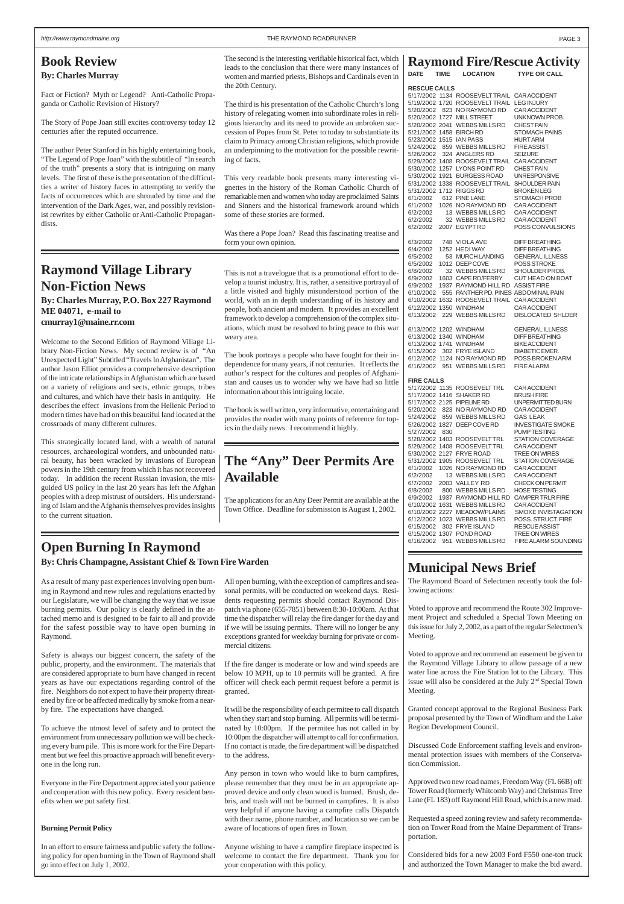# **Open Burning In Raymond**

**By: Chris Champagne, Assistant Chief & Town Fire Warden**

As a result of many past experiences involving open burning in Raymond and new rules and regulations enacted by our Legislature, we will be changing the way that we issue burning permits. Our policy is clearly defined in the attached memo and is designed to be fair to all and provide for the safest possible way to have open burning in Raymond.

Safety is always our biggest concern, the safety of the public, property, and the environment. The materials that are considered appropriate to burn have changed in recent years as have our expectations regarding control of the fire. Neighbors do not expect to have their property threatened by fire or be affected medically by smoke from a nearby fire. The expectations have changed.

To achieve the utmost level of safety and to protect the environment from unnecessary pollution we will be checking every burn pile. This is more work for the Fire Department but we feel this proactive approach will benefit everyone in the long run.

Everyone in the Fire Department appreciated your patience and cooperation with this new policy. Every resident benefits when we put safety first.

### **Burning Permit Policy**

In an effort to ensure fairness and public safety the following policy for open burning in the Town of Raymond shall go into effect on July 1, 2002.

All open burning, with the exception of campfires and seasonal permits, will be conducted on weekend days. Residents requesting permits should contact Raymond Dispatch via phone (655-7851) between 8:30-10:00am. At that time the dispatcher will relay the fire danger for the day and if we will be issuing permits. There will no longer be any exceptions granted for weekday burning for private or commercial citizens.

It will be the responsibility of each permitee to call dispatch when they start and stop burning. All permits will be terminated by 10:00pm. If the permitee has not called in by 10:00pm the dispatcher will attempt to call for confirmation. If no contact is made, the fire department will be dispatched to the address.

Any person in town who would like to burn campfires, please remember that they must be in an appropriate approved device and only clean wood is burned. Brush, debris, and trash will not be burned in campfires. It is also very helpful if anyone having a campfire calls Dispatch with their name, phone number, and location so we can be aware of locations of open fires in Town.

Anyone wishing to have a campfire fireplace inspected is welcome to contact the fire department. Thank you for your cooperation with this policy.

### **Raymond Fire/Rescue Activity**

| <b>DATE</b>         | <b>TIME LOCATION</b>                      | <b>TYPE OR CALL</b> |  |
|---------------------|-------------------------------------------|---------------------|--|
| <b>RESCUE CALLS</b> |                                           |                     |  |
|                     | 5/17/2002 1134 ROOSEVELTTRAIL CARACCIDENT |                     |  |
|                     | 5/19/2002 1720 ROOSEVELTTRAIL LEGINJURY   |                     |  |
|                     | 5/20/2002 823 NO RAYMOND RD CAR ACCIDENT  |                     |  |
|                     | $F/00/0000$ $A707$ MULL CTDEFT            | $\left  \right $    |  |

If the fire danger is moderate or low and wind speeds are below 10 MPH, up to 10 permits will be granted. A fire officer will check each permit request before a permit is granted. Meeting.

| 5/20/2002<br>5/20/2002 1727<br>5/21/2002 1458 BIRCHRD<br>5/23/2002 1515 IAN PASS<br>5/24/2002<br>5/26/2002<br>5/30/2002 1257<br>5/30/2002 1921 |     | 823 NO RAYMOND RD<br><b>MILL STREET</b><br>5/20/2002 2041 WEBBS MILLS RD<br>859 WEBBS MILLS RD<br>324 ANGLERS RD<br>5/29/2002 1408 ROOSEVELTTRAIL<br>LYONS POINT RD<br><b>BURGESS ROAD</b><br>5/31/2002 1338 ROOSEVELTTRAIL                                               | <b>CAR ACCIDENT</b><br>UNKNOWN PROB.<br><b>CHEST PAIN</b><br>STOMACH PAINS<br><b>HURT ARM</b><br><b>FIRE ASSIST</b><br><b>SEIZURE</b><br><b>CAR ACCIDENT</b><br><b>CHEST PAIN</b><br><b>UNRESPONSIVE</b><br><b>SHOULDER PAIN</b>                |
|------------------------------------------------------------------------------------------------------------------------------------------------|-----|---------------------------------------------------------------------------------------------------------------------------------------------------------------------------------------------------------------------------------------------------------------------------|-------------------------------------------------------------------------------------------------------------------------------------------------------------------------------------------------------------------------------------------------|
| 6/1/2002<br>6/1/2002<br>6/2/2002<br>6/2/2002<br>6/2/2002                                                                                       |     | 5/31/2002 1712 RIGGS RD<br>612 PINE LANE<br>1026 NO RAYMOND RD<br>13 WEBBS MILLS RD<br>32 WEBBS MILLS RD<br>2007 EGYPT RD                                                                                                                                                 | <b>BROKEN LEG</b><br><b>STOMACH PROB</b><br>CAR ACCIDENT<br><b>CAR ACCIDENT</b><br><b>CAR ACCIDENT</b><br>POSS CONVULSIONS                                                                                                                      |
| 6/3/2002<br>6/4/2002<br>6/5/2002<br>6/5/2002<br>6/8/2002<br>6/9/2002<br>6/9/2002<br>6/10/2002<br>6/13/2002                                     |     | 748 VIOLA AVE<br>1252 HEDI WAY<br>53 MURCH LANDING<br>1012 DEEP COVE<br>32 WEBBS MILLS RD<br>1603 CAPE RD/FERRY<br>1937 RAYMOND HILL RD<br>555 PANTHER PD. PINES ABDOMINAL PAIN<br>6/10/2002 1632 ROOSEVELTTRAIL<br>6/12/2002 1350 WINDHAM<br>229 WEBBS MILLS RD          | <b>DIFF BREATHING</b><br><b>DIFF BREATHING</b><br><b>GENERAL ILLNESS</b><br><b>POSS STROKE</b><br>SHOULDER PROB.<br>CUT HEAD ON BOAT<br><b>ASSIST FIRE</b><br><b>CAR ACCIDENT</b><br><b>CAR ACCIDENT</b><br><b>DISLOCATED SHLDER</b>            |
| 6/15/2002<br>6/16/2002                                                                                                                         | 951 | 6/13/2002 1202 WINDHAM<br>6/13/2002 1340 WINDHAM<br>6/13/2002 1741 WINDHAM<br>302 FRYE ISLAND<br>6/12/2002 1124 NO RAYMOND RD<br>WEBBS MILLS RD                                                                                                                           | <b>GENERAL ILLNESS</b><br><b>DIFF BREATHING</b><br><b>BIKE ACCIDENT</b><br>DIABETIC EMER.<br>POSS BROKEN ARM<br><b>FIRE ALARM</b>                                                                                                               |
| <b>FIRE CALLS</b><br>5/20/2002<br>5/24/2002<br>5/26/2002 1827<br>5/27/2002                                                                     | 830 | 5/17/2002 1135 ROOSEVELTTRL<br>5/17/2002 1416 SHAKER RD<br>5/17/2002 2125 PIPELINE RD<br>823 NO RAYMOND RD<br>859 WEBBS MILLS RD<br>DEEP COVE RD<br>5/28/2002 1403 ROOSEVELTTRL<br>5/29/2002 1408 ROOSEVELTTRL<br>5/30/2002 2127 FRYE ROAD<br>5/31/2002 1905 ROOSEVELTTRL | <b>CAR ACCIDENT</b><br><b>BRUSH FIRE</b><br>UNPERMITTED BURN<br><b>CAR ACCIDENT</b><br><b>GAS LEAK</b><br><b>INVESTIGATE SMOKE</b><br><b>PUMPTESTING</b><br>STATION COVERAGE<br>CAR ACCIDENT<br><b>TREE ON WIRES</b><br><b>STATION COVERAGE</b> |
| 6/1/2002<br>6/2/2002<br>6/7/2002<br>6/8/2002<br>6/9/2002<br>6/15/2002                                                                          |     | 1026 NO RAYMOND RD<br>13 WEBBS MILLS RD<br>2003 VALLEY RD<br>800 WEBBS MILLS RD<br>1937 RAYMOND HILL RD<br>6/10/2002 1631 WEBBS MILLS RD<br>6/10/2002 2227 MEADOW/PLAINS<br>6/12/2002 1023 WEBBS MILLS RD<br>302 FRYE ISLAND                                              | <b>CAR ACCIDENT</b><br><b>CAR ACCIDENT</b><br><b>CHECK ON PERMIT</b><br><b>HOSE TESTING</b><br><b>CAMPER TRLR FIRE</b><br><b>CAR ACCIDENT</b><br><b>SMOKE INVISTAGATION</b><br>POSS. STRUCT. FIRE<br><b>RESCUE ASSIST</b>                       |

6/15/2002 1307 POND ROAD TREE ON WIRES<br>6/16/2002 951 WEBBS MILLS RD FIRE ALARM SOUNDING 6/16/2002 951 WEBBS MILLS RD

# **Municipal News Brief**

The Raymond Board of Selectmen recently took the following actions:

Voted to approve and recommend the Route 302 Improvement Project and scheduled a Special Town Meeting on this issue for July 2, 2002, as a part of the regular Selectmen's Meeting.

Voted to approve and recommend an easement be given to the Raymond Village Library to allow passage of a new water line across the Fire Station lot to the Library. This issue will also be considered at the July 2nd Special Town

Granted concept approval to the Regional Business Park proposal presented by the Town of Windham and the Lake Region Development Council.

Discussed Code Enforcement staffing levels and environmental protection issues with members of the Conservation Commission.

Approved two new road names, Freedom Way (FL 66B) off Tower Road (formerly Whitcomb Way) and Christmas Tree Lane (FL 183) off Raymond Hill Road, which is a new road.

Requested a speed zoning review and safety recommendation on Tower Road from the Maine Department of Transportation.

Considered bids for a new 2003 Ford F550 one-ton truck and authorized the Town Manager to make the bid award.

# **Book Review By: Charles Murray**

Fact or Fiction? Myth or Legend? Anti-Catholic Propaganda or Catholic Revision of History?

The Story of Pope Joan still excites controversy today 12 centuries after the reputed occurrence.

The author Peter Stanford in his highly entertaining book, "The Legend of Pope Joan" with the subtitle of "In search of the truth" presents a story that is intriguing on many levels. The first of these is the presentation of the difficulties a writer of history faces in attempting to verify the facts of occurrences which are shrouded by time and the intervention of the Dark Ages, war, and possibly revisionist rewrites by either Catholic or Anti-Catholic Propagandists.

### <span id="page-2-0"></span>http://www.raymondmaine.org PAGE 3 PAGE 3

The second is the interesting verifiable historical fact, which leads to the conclusion that there were many instances of women and married priests, Bishops and Cardinals even in the 20th Century.

The third is his presentation of the Catholic Church's long history of relegating women into subordinate roles in religious hierarchy and its need to provide an unbroken succession of Popes from St. Peter to today to substantiate its claim to Primacy among Christian religions, which provide an underpinning to the motivation for the possible rewriting of facts.

This very readable book presents many interesting vignettes in the history of the Roman Catholic Church of remarkable men and women who today are proclaimed Saints and Sinners and the historical framework around which some of these stories are formed.

Was there a Pope Joan? Read this fascinating treatise and form your own opinion.

# **Raymond Village Library Non-Fiction News**

**By: Charles Murray, P.O. Box 227 Raymond ME 04071, e-mail to cmurray1@maine.rr.com**

Welcome to the Second Edition of Raymond Village Library Non-Fiction News. My second review is of "An Unexpected Light" Subtitled "Travels In Afghanistan". The author Jason Elliot provides a comprehensive description of the intricate relationships in Afghanistan which are based on a variety of religions and sects, ethnic groups, tribes and cultures, and which have their basis in antiquity. He describes the effect invasions from the Hellenic Period to modern times have had on this beautiful land located at the crossroads of many different cultures.

This strategically located land, with a wealth of natural resources, archaeological wonders, and unbounded natural beauty, has been wracked by invasions of European powers in the 19th century from which it has not recovered today. In addition the recent Russian invasion, the misguided US policy in the last 20 years has left the Afghan peoples with a deep mistrust of outsiders. His understanding of Islam and the Afghanis themselves provides insights to the current situation.

This is not a travelogue that is a promotional effort to develop a tourist industry. It is, rather, a sensitive portrayal of a little visited and highly misunderstood portion of the world, with an in depth understanding of its history and people, both ancient and modern. It provides an excellent framework to develop a comprehension of the complex situations, which must be resolved to bring peace to this war weary area.

The book portrays a people who have fought for their independence for many years, if not centuries. It reflects the author's respect for the cultures and peoples of Afghanistan and causes us to wonder why we have had so little information about this intriguing locale.

The book is well written, very informative, entertaining and provides the reader with many points of reference for topics in the daily news. I recommend it highly.

# **The "Any" Deer Permits Are Available**

The applications for an Any Deer Permit are available at the Town Office. Deadline for submission is August 1, 2002.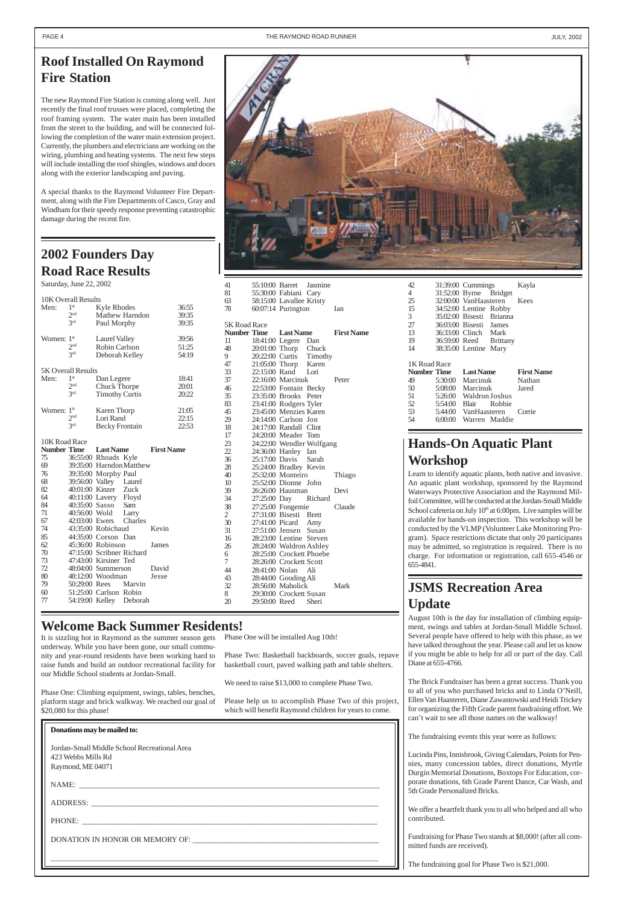### <span id="page-3-0"></span>PAGE 4 THE RAYMOND ROAD RUNNER AND THE RAYMOND ROAD RUNNER AND THE RAYMOND ROAD RUNNER

# **Roof Installed On Raymond Fire Station**

The new Raymond Fire Station is coming along well. Just recently the final roof trusses were placed, completing the roof framing system. The water main has been installed from the street to the building, and will be connected following the completion of the water main extension project. Currently, the plumbers and electricians are working on the wiring, plumbing and heating systems. The next few steps will include installing the roof shingles, windows and doors along with the exterior landscaping and paving.

A special thanks to the Raymond Volunteer Fire Department, along with the Fire Departments of Casco, Gray and Windham for their speedy response preventing catastrophic damage during the recent fire.

# **Welcome Back Summer Residents!**

# **JSMS Recreation Area Update**

August 10th is the day for installation of climbing equipment, swings and tables at Jordan-Small Middle School. Several people have offered to help with this phase, as we have talked throughout the year. Please call and let us know if you might be able to help for all or part of the day. Call Diane at 655-4766.

The Brick Fundraiser has been a great success. Thank you

# **2002 Founders Day Road Race Results**

Saturday, June 22, 2002

|                        | 10K Overall Results       |                                               |                   |  |  |
|------------------------|---------------------------|-----------------------------------------------|-------------------|--|--|
| Men:                   | 1 <sup>st</sup>           | Kyle Rhodes                                   | 36:55             |  |  |
|                        | 2 <sup>nd</sup>           | Mathew Harndon                                | 39:35             |  |  |
|                        | 2rd                       | Paul Morphy                                   | 39:35             |  |  |
|                        |                           |                                               |                   |  |  |
| Women: 1 <sup>st</sup> |                           | <b>Laurel Valley</b>                          | 39:56             |  |  |
|                        | 2 <sub>nd</sub>           | Robin Carlson                                 | 51:25             |  |  |
|                        | 2rd                       | Deborah Kelley                                | 54:19             |  |  |
|                        |                           |                                               |                   |  |  |
|                        | <b>5K Overall Results</b> |                                               |                   |  |  |
| Men:                   | 1 <sup>st</sup>           | Dan Legere                                    | 18:41             |  |  |
|                        | 2 <sup>nd</sup>           | <b>Chuck Thorpe</b>                           | 20:01             |  |  |
|                        | 2rd                       | <b>Timothy Curtis</b>                         | 20:22             |  |  |
|                        |                           |                                               |                   |  |  |
| Women:                 | 1 <sup>st</sup>           | Karen Thorp                                   | 21:05             |  |  |
|                        | 2 <sub>nd</sub><br>2rd    | Lori Rand                                     | 22:15             |  |  |
|                        |                           | <b>Becky Frontain</b>                         | 22:53             |  |  |
|                        |                           |                                               |                   |  |  |
|                        |                           |                                               |                   |  |  |
|                        | 10K Road Race             |                                               |                   |  |  |
|                        |                           | <b>Number Time Last Name</b>                  | <b>First Name</b> |  |  |
| 75                     |                           | 36:55:00 Rhoads Kyle                          |                   |  |  |
| 69                     |                           | 39:35:00 HarndonMatthew                       |                   |  |  |
| 76<br>68               |                           | 39:35:00 Morphy Paul                          |                   |  |  |
|                        |                           | 39:56:00 Valley Laurel                        |                   |  |  |
| 82<br>64               |                           | 40:01:00 Kinzer Zuck                          |                   |  |  |
| 84                     |                           |                                               |                   |  |  |
| 71                     |                           | 40:11:00 Lavery Floyd<br>40:35:00 Sasso Sam   |                   |  |  |
| 67                     |                           | 40:56:00 Wold Larry<br>42:03:00 Ewers Charles |                   |  |  |
| 74                     |                           | 43:35:00 Robichaud                            | Kevin             |  |  |
| 85                     |                           | 44:35:00 Corson Dan                           |                   |  |  |
| 62                     |                           | 45:36:00 Robinson                             | James             |  |  |
| 70                     |                           | 47:15:00 Scribner Richard                     |                   |  |  |
| 73                     |                           | 47:43:00 Kirsiner Ted                         |                   |  |  |
| 72                     |                           | 48:04:00 Summerson                            | David             |  |  |



| $\frac{1}{2}$ and $\frac{1}{2}$ and $\frac{1}{2}$ and $\frac{1}{2}$ and $\frac{1}{2}$ and $\frac{1}{2}$ and $\frac{1}{2}$ and $\frac{1}{2}$ and $\frac{1}{2}$ and $\frac{1}{2}$ and $\frac{1}{2}$ and $\frac{1}{2}$ and $\frac{1}{2}$ and $\frac{1}{2}$ and $\frac{1}{2}$ and $\frac{1}{2}$ a<br>Phase One: Climbing equipment, swings, tables, benches,<br>Please help us to accomplish Phase Two of this project,<br>platform stage and brick walkway. We reached our goal of<br>which will benefit Raymond children for years to come.<br>\$20,080 for this phase! | to all of you who purchased bricks and to Linda O'Neill,<br>Ellen Van Haasteren, Diane Zawastowski and Heidi Trickey<br>for organizing the Fifth Grade parent fundraising effort. We<br>can't wait to see all those names on the walkway!                                                                                                                                                                                                                                                                                                                           |
|-----------------------------------------------------------------------------------------------------------------------------------------------------------------------------------------------------------------------------------------------------------------------------------------------------------------------------------------------------------------------------------------------------------------------------------------------------------------------------------------------------------------------------------------------------------------------|---------------------------------------------------------------------------------------------------------------------------------------------------------------------------------------------------------------------------------------------------------------------------------------------------------------------------------------------------------------------------------------------------------------------------------------------------------------------------------------------------------------------------------------------------------------------|
| Donations may be mailed to:<br>Jordan-Small Middle School Recreational Area<br>423 Webbs Mills Rd<br>Raymond, ME 04071<br>NAME:<br>ADDRESS: North Contract of the Contract of the Contract of the Contract of the Contract of the Contract of the Contract of the Contract of the Contract of the Contract of the Contract of the Contract of the Contract of the<br>PHONE:                                                                                                                                                                                           | The fundraising events this year were as follows:<br>Lucinda Pins, Innisbrook, Giving Calendars, Points for Pen-<br>nies, many concession tables, direct donations, Myrtle<br>Durgin Memorial Donations, Boxtops For Education, cor-<br>porate donations, 6th Grade Parent Dance, Car Wash, and<br>5th Grade Personalized Bricks.<br>We offer a heartfelt thank you to all who helped and all who<br>contributed.<br>Fundraising for Phase Two stands at \$8,000! (after all com-<br>mitted funds are received).<br>The fundraising goal for Phase Two is \$21,000. |

| 41           | 55:10:00 Barret Jasmine                                                                          |       |                   |
|--------------|--------------------------------------------------------------------------------------------------|-------|-------------------|
| 81           | 55:30:00 Fabiani Cary                                                                            |       |                   |
| 63           | 58:15:00 Lavallee Kristy                                                                         |       |                   |
| 78           | 60:07:14 Purington                                                                               |       | Ian               |
| 5K Road Race |                                                                                                  |       |                   |
| Number Time  | <b>Last Name</b>                                                                                 |       | <b>First Name</b> |
| 11           | 18:41:00 Legere Dan                                                                              |       |                   |
| 48           |                                                                                                  |       |                   |
| 9            |                                                                                                  |       |                   |
| 47           | 20:01:00 Thorp Chuck<br>20:22:00 Curtis Timothy<br>21:05:00 Thorp Karen<br>22:15:00 Rand Lori    |       |                   |
| 33           |                                                                                                  |       |                   |
| 37           | 22:16:00 Marcinuk                                                                                |       | Peter             |
| 46           | 22:53:00 Fontain Becky                                                                           |       |                   |
| 35           |                                                                                                  |       |                   |
| 83           | 23:35:00 Brooks Peter<br>23:41:00 Rodgers Tyler                                                  |       |                   |
| 45           | 23:45:00 Menzies Karen                                                                           |       |                   |
| 29           | 24:14:00 Carlson Jon                                                                             |       |                   |
| 18           | 24:17:00 Randall Clint                                                                           |       |                   |
| 17           |                                                                                                  |       |                   |
| 23           |                                                                                                  |       |                   |
| 22           | 24:20:00 Meader Tom<br>24:22:00 Wendler Wolfgang<br>24:36:00 Hanley Ian                          |       |                   |
| 36           | 25:17:00 Davis Sarah                                                                             |       |                   |
| 28           | 25:24:00 Bradley Kevin                                                                           |       |                   |
| 40           |                                                                                                  |       | Thiago            |
| 10           | 25:32:00 Monteiro<br>25:52:00 Dionne John                                                        |       |                   |
| 39           | 26:26:00 Hausman                                                                                 |       | Devi              |
| 34           | 27:25:00 Day Richard                                                                             |       |                   |
| 38           | 27:25:00 Fongemie                                                                                |       | Claude            |
| 2            |                                                                                                  |       |                   |
| 30           | 27:31:00 Bisesti Brett<br>27:31:00 Bisesti Brett<br>27:41:00 Picard Amy<br>27:51:00 Jensen Susan |       |                   |
| 31           |                                                                                                  |       |                   |
| 16           | 28:23:00 Lentine Steven                                                                          |       |                   |
| 26           | 28:24:00 Waldron Ashley                                                                          |       |                   |
| 6            | 28:25:00 Crockett Phoebe                                                                         |       |                   |
| 7            | 28:26:00 Crockett Scott                                                                          |       |                   |
| 44           | 28:41:00 Nolan Ali                                                                               |       |                   |
| 43           | 28:44:00 Gooding Ali                                                                             |       |                   |
| 32           | 28:56:00 Maholick                                                                                |       | Mark              |
| 8            | 29:30:00 Crockett Susan                                                                          |       |                   |
| 20           | 29:50:00 Reed                                                                                    | Sheri |                   |

| 42             | 31:39:00 Cummings        |  | Kayla             |
|----------------|--------------------------|--|-------------------|
| $\overline{4}$ | 31:52:00 Byrne Bridget   |  |                   |
| 25             | 32:00:00 VanHaasteren    |  | Kees              |
| 15             | 34:52:00 Lentine Robby   |  |                   |
| $\overline{3}$ | 35:02:00 Bisesti Brianna |  |                   |
| 27             | 36:03:00 Bisesti James   |  |                   |
| 13             | 36:33:00 Clinch Mark     |  |                   |
| 19             | 36:59:00 Reed Brittany   |  |                   |
| 14             | 38:35:00 Lentine Mary    |  |                   |
|                |                          |  |                   |
|                |                          |  |                   |
| 1K Road Race   |                          |  |                   |
| Number Time    | <b>Last Name</b>         |  | <b>First Name</b> |
| 49             | 5:30:00 Marcinuk         |  | Nathan            |
| 50             | 5:08:00 Marcinuk         |  | Jared             |
| 51             | 5:26:00 Waldron Joshus   |  |                   |
| 52             | 5:54:00 Blair Robbie     |  |                   |
| 53             | 5:44:00 VanHaasteren     |  | Corrie            |

# **Hands-On Aquatic Plant Workshop**

Learn to identify aquatic plants, both native and invasive. An aquatic plant workshop, sponsored by the Raymond Waterways Protective Association and the Raymond Milfoil Committee, will be conducted at the Jordan-Small Middle School cafeteria on July 10<sup>th</sup> at 6:00pm. Live samples will be available for hands-on inspection. This workshop will be conducted by the VLMP (Volunteer Lake Monitoring Program). Space restrictions dictate that only 20 participants may be admitted, so registration is required. There is no charge. For information or registration, call 655-4546 or 655-4841.

It is sizzling hot in Raymond as the summer season gets underway. While you have been gone, our small community and year-round residents have been working hard to raise funds and build an outdoor recreational facility for our Middle School students at Jordan-Small.

79 50:29:00 Rees Marvin<br>60 51:25:00 Carlson Robin 60 51:25:00 Carlson Robin<br>77 54:19:00 Kelley Debora

54:19:00 Kelley Deborah

Phase One will be installed Aug 10th!

Phase Two: Basketball backboards, soccer goals, repave basketball court, paved walking path and table shelters.

We need to raise \$13,000 to complete Phase Two.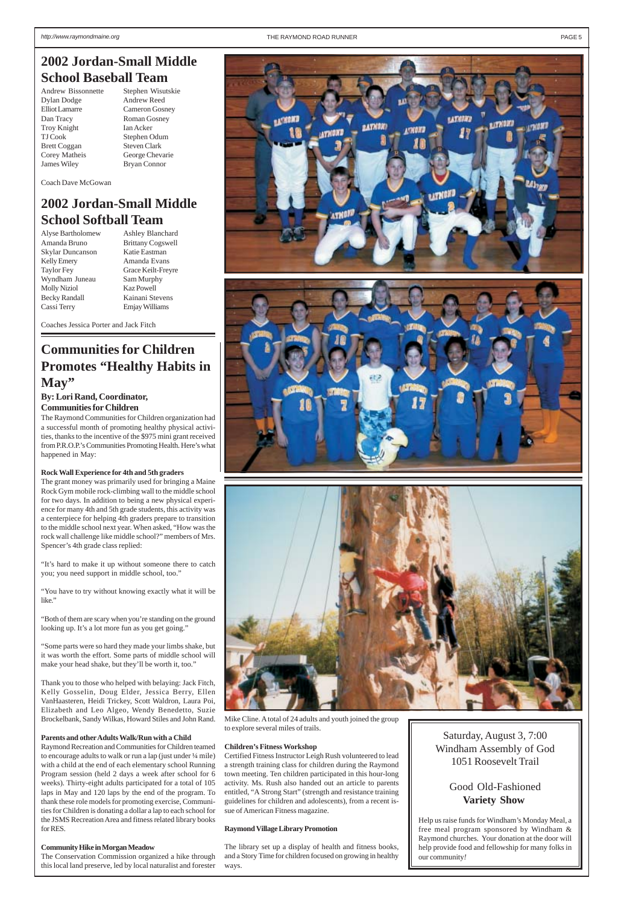**School Baseball Team** Andrew Bissonnette Stephen Wisutskie Dylan Dodge Andrew Reed Elliot Lamarre Cameron Gosney Dan Tracy Roman Gosney Troy Knight Ian Acker TJ Cook Stephen Odum Brett Coggan Steven Clark Corey Matheis George Chevarie James Wiley Bryan Connor

<span id="page-4-0"></span>

Skylar Duncanson Katie Eastman Kelly Emery **Amanda Evans** Wyndham Juneau Sam Murphy Molly Niziol Kaz Powell Becky Randall Kainani Stevens

Coach Dave McGowan

# **2002 Jordan-Small Middle School Softball Team**

Alyse Bartholomew Ashley Blanchard Amanda Bruno Brittany Cogswell Taylor Fey Grace Keilt-Freyre Cassi Terry Emjay Williams

Coaches Jessica Porter and Jack Fitch

# **Communities for Children Promotes "Healthy Habits in May"**

### **By: Lori Rand, Coordinator, Communities for Children**

The Raymond Communities for Children organization had a successful month of promoting healthy physical activities, thanks to the incentive of the \$975 mini grant received from P.R.O.P.'s Communities Promoting Health. Here's what happened in May:

### **Rock Wall Experience for 4th and 5th graders**

The grant money was primarily used for bringing a Maine Rock Gym mobile rock-climbing wall to the middle school for two days. In addition to being a new physical experience for many 4th and 5th grade students, this activity was a centerpiece for helping 4th graders prepare to transition to the middle school next year. When asked, "How was the rock wall challenge like middle school?" members of Mrs. Spencer's 4th grade class replied:

"It's hard to make it up without someone there to catch you; you need support in middle school, too."

"You have to try without knowing exactly what it will be like."

"Both of them are scary when you're standing on the ground looking up. It's a lot more fun as you get going."

"Some parts were so hard they made your limbs shake, but it was worth the effort. Some parts of middle school will make your head shake, but they'll be worth it, too."

Thank you to those who helped with belaying: Jack Fitch,

Kelly Gosselin, Doug Elder, Jessica Berry, Ellen VanHaasteren, Heidi Trickey, Scott Waldron, Laura Poi, Elizabeth and Leo Algeo, Wendy Benedetto, Suzie Brockelbank, Sandy Wilkas, Howard Stiles and John Rand.

### **Parents and other Adults Walk/Run with a Child**

Raymond Recreation and Communities for Children teamed to encourage adults to walk or run a lap (just under ¼ mile) with a child at the end of each elementary school Running Program session (held 2 days a week after school for 6 weeks). Thirty-eight adults participated for a total of 105 laps in May and 120 laps by the end of the program. To thank these role models for promoting exercise, Communities for Children is donating a dollar a lap to each school for the JSMS Recreation Area and fitness related library books for RES.

### **Community Hike in Morgan Meadow**

The Conservation Commission organized a hike through this local land preserve, led by local naturalist and forester

Mike Cline. A total of 24 adults and youth joined the group to explore several miles of trails.

### **Children's Fitness Workshop**

Certified Fitness Instructor Leigh Rush volunteered to lead a strength training class for children during the Raymond town meeting. Ten children participated in this hour-long activity. Ms. Rush also handed out an article to parents entitled, "A Strong Start" (strength and resistance training guidelines for children and adolescents), from a recent issue of American Fitness magazine.

### **Raymond Village Library Promotion**

The library set up a display of health and fitness books, and a Story Time for children focused on growing in healthy ways.

Saturday, August 3, 7:00 Windham Assembly of God 1051 Roosevelt Trail

## Good Old-Fashioned **Variety Show**

Help us raise funds for Windham's Monday Meal, a free meal program sponsored by Windham & Raymond churches. Your donation at the door will help provide food and fellowship for many folks in our community*!*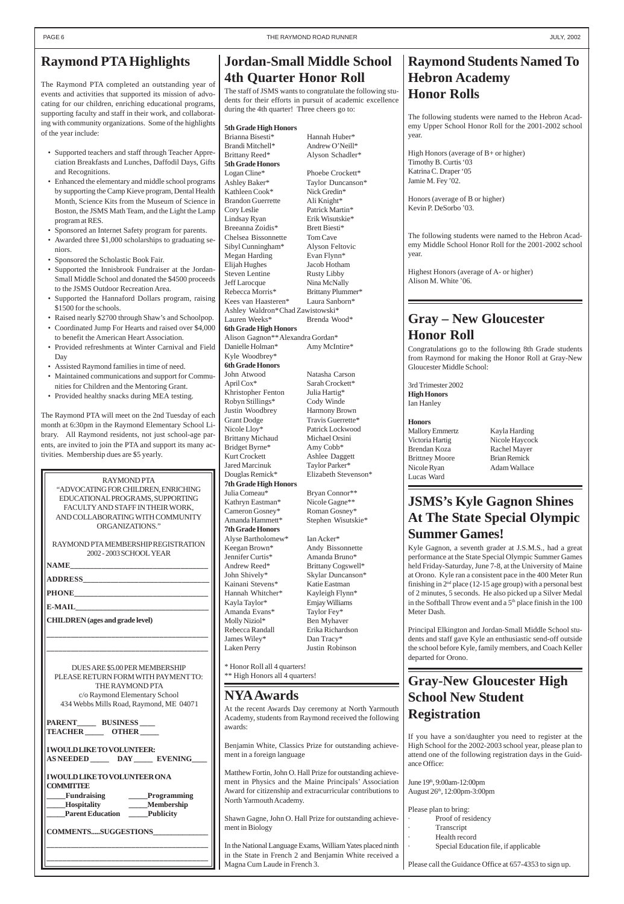# **Gray – New Gloucester Honor Roll**

Congratulations go to the following 8th Grade students from Raymond for making the Honor Roll at Gray-New Gloucester Middle School:

3rd Trimester 2002 **High Honors** Ian Hanley

### **Honors**

Brendan Koza Rachel Mayer Brittney Moore Brian Remick Nicole Ryan Adam Wallace Lucas Ward

Mallory Emmertz Kayla Harding Victoria Hartig Nicole Haycock

# **Gray-New Gloucester High**

# **Raymond Students Named To Hebron Academy Honor Rolls**

The following students were named to the Hebron Academy Upper School Honor Roll for the 2001-2002 school year.

High Honors (average of B+ or higher) Timothy B. Curtis '03 Katrina C. Draper '05 Jamie M. Fey '02.

Honors (average of B or higher) Kevin P. DeSorbo '03.

The following students were named to the Hebron Academy Middle School Honor Roll for the 2001-2002 school

# year.

Highest Honors (average of A- or higher) Alison M. White '06.

# **Jordan-Small Middle School 4th Quarter Honor Roll**

The staff of JSMS wants to congratulate the following students for their efforts in pursuit of academic excellence during the 4th quarter! Three cheers go to:

### **5th Grade High Honors**

Brianna Bisesti\* Hannah Huber\* Brandi Mitchell\* Andrew O'Neill\* Brittany Reed\* Alyson Schadler\* **5th Grade Honors** Logan Cline\* Phoebe Crockett\* Ashley Baker\* Taylor Duncanson\* Kathleen Cook\* Nick Gredin\* Brandon Guerrette Ali Knight\* Cory Leslie Patrick Martin\* Lindsay Ryan Erik Wisutskie\* Breeanna Zoidis\* Brett Biesti\* Chelsea Bissonnette Tom Cave Sibyl Cunningham\* Alyson Feltovic Megan Harding Evan Flynn\* Elijah Hughes Jacob Hotham Steven Lentine Rusty Libby Jeff Larocque Nina McNally Rebecca Morris\* Brittany Plummer\* Kees van Haasteren\* Laura Sanborn\* Ashley Waldron\*Chad Zawistowski\* Lauren Weeks\* Brenda Wood\* **6th Grade High Honors** Alison Gagnon\*\*Alexandra Gordan\* Danielle Holman\* Amy McIntire\* Kyle Woodbrey\* **6th Grade Honors** April Cox\* Sarah Crockett\* Khristopher Fenton Julia Hartig\* Robyn Stillings\* Cody Winde Justin Woodbrey Harmony Brown Grant Dodge Travis Guerrette\* Nicole Lloy\* Patrick Lockwood Brittany Michaud Michael Orsini Bridget Byrne\* Amy Cobb\* Kurt Crockett Ashlee Daggett Jared Marcinuk Taylor Parker\* Douglas Remick\* Elizabeth Stevenson\* **7th Grade High Honors** Julia Comeau\* Bryan Connor\*\* Kathryn Eastman\* Nicole Gagne\*\* Cameron Gosney\* Roman Gosney\* Amanda Hammett\* Stephen Wisutskie\* **7th Grade Honors** Alyse Bartholomew\* Ian Acker\* Keegan Brown\* Andy Bissonnette Jennifer Curtis\* Amanda Bruno\* Andrew Reed\* Brittany Cogswell\* John Shively\* Skylar Duncanson\* Kainani Stevens\* Katie Eastman Hannah Whitcher\* Kayleigh Flynn\* Kayla Taylor\* Emjay Williams Amanda Evans\* Taylor Fey\* Molly Niziol\* Ben Myhaver Rebecca Randall Erika Richardson James Wiley\* Dan Tracy\*

Kyle Gagnon, a seventh grader at J.S.M.S., had a great performance at the State Special Olympic Summer Games held Friday-Saturday, June 7-8, at the University of Maine at Orono. Kyle ran a consistent pace in the 400 Meter Run finishing in  $2<sup>nd</sup>$  place (12-15 age group) with a personal best of 2 minutes, 5 seconds. He also picked up a Silver Medal in the Softball Throw event and a  $5<sup>th</sup>$  place finish in the 100

Laken Perry Justin Robinson

\* Honor Roll all 4 quarters! \*\* High Honors all 4 quarters!

Natasha Carson

# <span id="page-5-0"></span>**Raymond PTA Highlights**

The Raymond PTA completed an outstanding year of events and activities that supported its mission of advocating for our children, enriching educational programs, supporting faculty and staff in their work, and collaborating with community organizations. Some of the highlights of the year include:

| THE RAYMOND PTA                                                                                                                         |                                                                                                                                                                                                               | <u>UTAV-TWW URUCCSICI THEIT</u>                                                                                                         |
|-----------------------------------------------------------------------------------------------------------------------------------------|---------------------------------------------------------------------------------------------------------------------------------------------------------------------------------------------------------------|-----------------------------------------------------------------------------------------------------------------------------------------|
| c/o Raymond Elementary School<br>434 Webbs Mills Road, Raymond, ME 04071                                                                | <b>NYA Awards</b>                                                                                                                                                                                             | <b>School New Student</b>                                                                                                               |
| <b>PARENT</b><br><b>BUSINESS</b><br><b>TEACHER OTHER</b>                                                                                | At the recent Awards Day ceremony at North Yarmouth<br>Academy, students from Raymond received the following<br>awards:                                                                                       | <b>Registration</b><br>If you have a son/daughter you need to register at the                                                           |
| <b>IWOULD LIKE TO VOLUNTEER:</b><br><b>EVENING</b><br>AS NEEDED DAY                                                                     | Benjamin White, Classics Prize for outstanding achieve-<br>ment in a foreign language                                                                                                                         | High School for the 2002-2003 school year, please plan to<br>attend one of the following registration days in the Guid-<br>ance Office: |
| <b>IWOULD LIKE TO VOLUNTEER ONA</b><br><b>COMMITTEE</b><br>Fundraising<br><b>Programming</b><br><b>Membership</b><br><b>Hospitality</b> | Matthew Fortin, John O. Hall Prize for outstanding achieve-<br>ment in Physics and the Maine Principals' Association<br>Award for citizenship and extracurricular contributions to<br>North Yarmouth Academy. | June 19th, 9:00am-12:00pm<br>August 26th, 12:00pm-3:00pm                                                                                |
| <b>Parent Education</b><br><b>Publicity</b><br><b>COMMENTSSUGGESTIONS</b>                                                               | Shawn Gagne, John O. Hall Prize for outstanding achieve-<br>ment in Biology                                                                                                                                   | Please plan to bring:<br>Proof of residency<br>Transcript<br>Health record                                                              |
|                                                                                                                                         | In the National Language Exams, William Yates placed ninth<br>in the State in French 2 and Benjamin White received a<br>Magna Cum Laude in French 3.                                                          | Special Education file, if applicable<br>Please call the Guidance Office at 657-4353 to sign up.                                        |

- Supported teachers and staff through Teacher Appreciation Breakfasts and Lunches, Daffodil Days, Gifts and Recognitions.
- Enhanced the elementary and middle school programs by supporting the Camp Kieve program, Dental Health Month, Science Kits from the Museum of Science in Boston, the JSMS Math Team, and the Light the Lamp program at RES.
- Sponsored an Internet Safety program for parents.
- Awarded three \$1,000 scholarships to graduating seniors.
- Sponsored the Scholastic Book Fair.
- Supported the Innisbrook Fundraiser at the Jordan-Small Middle School and donated the \$4500 proceeds to the JSMS Outdoor Recreation Area.
- Supported the Hannaford Dollars program, raising \$1500 for the schools.
- Raised nearly \$2700 through Shaw's and Schoolpop.
- Coordinated Jump For Hearts and raised over \$4,000 to benefit the American Heart Association.
- Provided refreshments at Winter Carnival and Field Day
- Assisted Raymond families in time of need.
- Maintained communications and support for Communities for Children and the Mentoring Grant.
- Provided healthy snacks during MEA testing.

The Raymond PTA will meet on the 2nd Tuesday of each month at 6:30pm in the Raymond Elementary School Library. All Raymond residents, not just school-age parents, are invited to join the PTA and support its many activities. Membership dues are \$5 yearly.

PLEASE RETURN FORM WITH PAYMENT TO:

# **JSMS's Kyle Gagnon Shines At The State Special Olympic Summer Games!**

Principal Elkington and Jordan-Small Middle School students and staff gave Kyle an enthusiastic send-off outside the school before Kyle, family members, and Coach Keller

# Meter Dash. departed for Orono.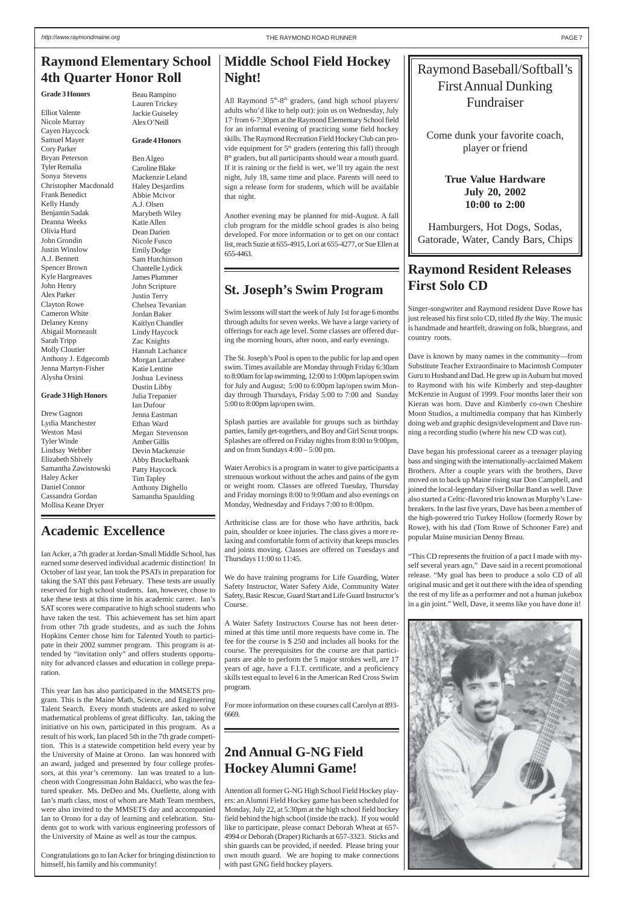# **Raymond Resident Releases First Solo CD**

Singer-songwriter and Raymond resident Dave Rowe has just released his first solo CD, titled *By the Way*. The music is handmade and heartfelt, drawing on folk, bluegrass, and country roots.

Dave is known by many names in the community—from Substitute Teacher Extraordinaire to Macintosh Computer Guru to Husband and Dad. He grew up in Auburn but moved to Raymond with his wife Kimberly and step-daughter McKenzie in August of 1999. Four months later their son Kieran was born. Dave and Kimberly co-own Cheshire Moon Studios, a multimedia company that has Kimberly doing web and graphic design/development and Dave running a recording studio (where his new CD was cut).

Dave began his professional career as a teenager playing bass and singing with the internationally-acclaimed Makem Brothers. After a couple years with the brothers, Dave moved on to back up Maine rising star Don Campbell, and joined the local-legendary Silver Dollar Band as well. Dave also started a Celtic-flavored trio known as Murphy's Lawbreakers. In the last five years, Dave has been a member of the high-powered trio Turkey Hollow (formerly Rowe by Rowe), with his dad (Tom Rowe of Schooner Fare) and popular Maine musician Denny Breau.

"This CD represents the fruition of a pact I made with myself several years ago," Dave said in a recent promotional release. "My goal has been to produce a solo CD of all original music and get it out there with the idea of spending the rest of my life as a performer and not a human jukebox in a gin joint." Well, Dave, it seems like you have done it!



All Raymond 5<sup>th</sup>-8<sup>th</sup> graders, (and high school players/ adults who'd like to help out): join us on Wednesday, July 17, from 6-7:30pm at the Raymond Elementary School field for an informal evening of practicing some field hockey skills. The Raymond Recreation Field Hockey Club can provide equipment for 5<sup>th</sup> graders (entering this fall) through 8<sup>th</sup> graders, but all participants should wear a mouth guard. If it is raining or the field is wet, we'll try again the next night, July 18, same time and place. Parents will need to sign a release form for students, which will be available that night.

# Raymond Baseball/Softball's First Annual Dunking Fundraiser

Come dunk your favorite coach, player or friend

> **True Value Hardware July 20, 2002 10:00 to 2:00**

Hamburgers, Hot Dogs, Sodas, Gatorade, Water, Candy Bars, Chips

# **2nd Annual G-NG Field Hockey Alumni Game!**

Attention all former G-NG High School Field Hockey players: an Alumni Field Hockey game has been scheduled for Monday, July 22, at 5:30pm at the high school field hockey field behind the high school (inside the track). If you would like to participate, please contact Deborah Wheat at 657- 4994 or Deborah (Draper) Richards at 657-3323. Sticks and shin guards can be provided, if needed. Please bring your own mouth guard. We are hoping to make connections with past GNG field hockey players.

# **Middle School Field Hockey Night!**

Another evening may be planned for mid-August. A fall club program for the middle school grades is also being developed. For more information or to get on our contact list, reach Suzie at 655-4915, Lori at 655-4277, or Sue Ellen at 655-4463.

# **St. Joseph's Swim Program**

Swim lessons will start the week of July 1st for age 6 months through adults for seven weeks. We have a large variety of offerings for each age level. Some classes are offered during the morning hours, after noon, and early evenings.

The St. Joseph's Pool is open to the public for lap and open swim. Times available are Monday through Friday 6:30am to 8:00am for lap swimming, 12:00 to 1:00pm lap/open swim for July and August; 5:00 to 6:00pm lap/open swim Monday through Thursdays, Friday 5:00 to 7:00 and Sunday 5:00 to 8:00pm lap/open swim.

Splash parties are available for groups such as birthday parties, family get-togethers, and Boy and Girl Scout troops. Splashes are offered on Friday nights from 8:00 to 9:00pm, and on from Sundays 4:00 – 5:00 pm.

Water Aerobics is a program in water to give participants a strenuous workout without the aches and pains of the gym or weight room. Classes are offered Tuesday, Thursday and Friday mornings 8:00 to 9:00am and also evenings on Monday, Wednesday and Fridays 7:00 to 8:00pm.

Arthriticise class are for those who have arthritis, back pain, shoulder or knee injuries. The class gives a more relaxing and comfortable form of activity that keeps muscles and joints moving. Classes are offered on Tuesdays and Thursdays 11:00 to 11:45.

We do have training programs for Life Guarding, Water Safety Instructor, Water Safety Aide, Community Water Safety, Basic Rescue, Guard Start and Life Guard Instructor's Course.

A Water Safety Instructors Course has not been determined at this time until more requests have come in. The fee for the course is \$ 250 and includes all books for the course. The prerequisites for the course are that participants are able to perform the 5 major strokes well, are 17 years of age, have a F.I.T. certificate, and a proficiency skills test equal to level 6 in the American Red Cross Swim

program.

For more information on these courses call Carolyn at 893- 6669.

# **Academic Excellence**

Ian Acker, a 7th grader at Jordan-Small Middle School, has earned some deserved individual academic distinction! In October of last year, Ian took the PSATs in preparation for taking the SAT this past February. These tests are usually reserved for high school students. Ian, however, chose to take these tests at this time in his academic career. Ian's SAT scores were comparative to high school students who have taken the test. This achievement has set him apart from other 7th grade students, and as such the Johns Hopkins Center chose him for Talented Youth to participate in their 2002 summer program. This program is attended by "invitation only" and offers students opportunity for advanced classes and education in college preparation.

This year Ian has also participated in the MMSETS program. This is the Maine Math, Science, and Engineering Talent Search. Every month students are asked to solve mathematical problems of great difficulty. Ian, taking the initiative on his own, participated in this program. As a result of his work, Ian placed 5th in the 7th grade competition. This is a statewide competition held every year by the University of Maine at Orono. Ian was honored with an award, judged and presented by four college professors, at this year's ceremony. Ian was treated to a luncheon with Congressman John Baldacci, who was the featured speaker. Ms. DeDeo and Ms. Ouellette, along with Ian's math class, most of whom are Math Team members, were also invited to the MMSETS day and accompanied Ian to Orono for a day of learning and celebration. Students got to work with various engineering professors of the University of Maine as well as tour the campus.

Congratulations go to Ian Acker for bringing distinction to himself, his family and his community!

# <span id="page-6-0"></span>**Raymond Elementary School 4th Quarter Honor Roll**

### **Grade 3 Honors**

Elliot Valente Nicole Murray Cayen Haycock Samuel Mayer Cory Parker Bryan Peterson Tyler Remalia Sonya Stevens Christopher Macdonald Frank Benedict Kelly Handy Benjamin Sadak Deanna Weeks Olivia Hurd John Grondin Justin Winslow A.J. Bennett Spencer Brown Kyle Hargreaves John Henry Alex Parker Clayton Rowe Cameron White Delaney Kenny Abigail Morneault Sarah Tripp Molly Cloutier Anthony J. Edgecomb Jenna Martyn-Fisher Alysha Orsini

### **Grade 3 High Honors**

Drew Gagnon Lydia Manchester Weston Masi Tyler Winde Lindsay Webber Elizabeth Shively Samantha Zawistowski Haley Acker Daniel Connor Cassandra Gordan Mollisa Keane Dryer

Beau Rampino Lauren Trickey Jackie Guiseley Alex O'Neill

**Grade 4 Honors**

Ben Algeo Caroline Blake Mackenzie Leland Haley Desjardins Abbie Mcivor A.J. Olsen Marybeth Wiley Katie Allen Dean Darien Nicole Fusco Emily Dodge Sam Hutchinson Chantelle Lydick James Plummer John Scripture Justin Terry Chelsea Tevanian Jordan Baker Kaitlyn Chandler Lindy Haycock Zac Knights Hannah Lachance Morgan Larrabee Katie Lentine Joshua Leviness Dustin Libby Julia Trepanier Ian Dufour Jenna Eastman Ethan Ward Megan Stevenson Amber Gillis Devin Mackenzie Abby Brockelbank Patty Haycock Tim Tapley Anthony Dighello Samantha Spaulding